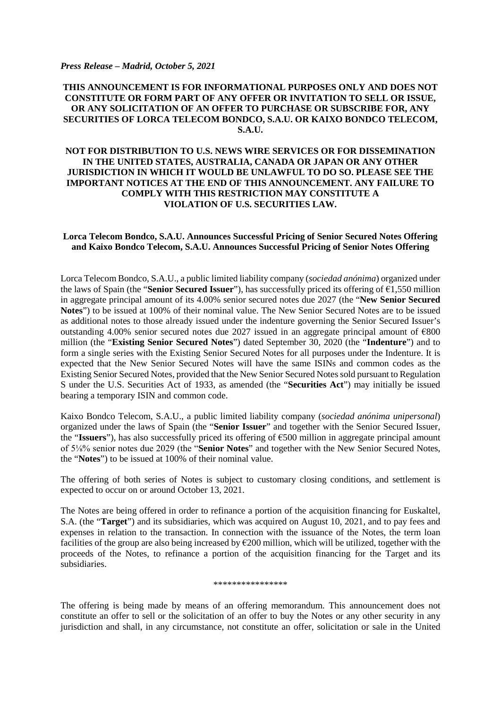#### *Press Release – Madrid, October 5, 2021*

## **THIS ANNOUNCEMENT IS FOR INFORMATIONAL PURPOSES ONLY AND DOES NOT CONSTITUTE OR FORM PART OF ANY OFFER OR INVITATION TO SELL OR ISSUE, OR ANY SOLICITATION OF AN OFFER TO PURCHASE OR SUBSCRIBE FOR, ANY SECURITIES OF LORCA TELECOM BONDCO, S.A.U. OR KAIXO BONDCO TELECOM, S.A.U.**

# **NOT FOR DISTRIBUTION TO U.S. NEWS WIRE SERVICES OR FOR DISSEMINATION IN THE UNITED STATES, AUSTRALIA, CANADA OR JAPAN OR ANY OTHER JURISDICTION IN WHICH IT WOULD BE UNLAWFUL TO DO SO. PLEASE SEE THE IMPORTANT NOTICES AT THE END OF THIS ANNOUNCEMENT. ANY FAILURE TO COMPLY WITH THIS RESTRICTION MAY CONSTITUTE A VIOLATION OF U.S. SECURITIES LAW.**

### **Lorca Telecom Bondco, S.A.U. Announces Successful Pricing of Senior Secured Notes Offering and Kaixo Bondco Telecom, S.A.U. Announces Successful Pricing of Senior Notes Offering**

Lorca Telecom Bondco, S.A.U., a public limited liability company (*sociedad anónima*) organized under the laws of Spain (the "**Senior Secured Issuer**"), has successfully priced its offering of  $\epsilon$ 1,550 million in aggregate principal amount of its 4.00% senior secured notes due 2027 (the "**New Senior Secured Notes**") to be issued at 100% of their nominal value. The New Senior Secured Notes are to be issued as additional notes to those already issued under the indenture governing the Senior Secured Issuer's outstanding 4.00% senior secured notes due 2027 issued in an aggregate principal amount of  $\epsilon$ 800 million (the "**Existing Senior Secured Notes**") dated September 30, 2020 (the "**Indenture**") and to form a single series with the Existing Senior Secured Notes for all purposes under the Indenture. It is expected that the New Senior Secured Notes will have the same ISINs and common codes as the Existing Senior Secured Notes, provided that the New Senior Secured Notes sold pursuant to Regulation S under the U.S. Securities Act of 1933, as amended (the "**Securities Act**") may initially be issued bearing a temporary ISIN and common code.

Kaixo Bondco Telecom, S.A.U., a public limited liability company (*sociedad anónima unipersonal*) organized under the laws of Spain (the "**Senior Issuer**" and together with the Senior Secured Issuer, the "**Issuers**"), has also successfully priced its offering of €500 million in aggregate principal amount of 5⅛% senior notes due 2029 (the "**Senior Notes**" and together with the New Senior Secured Notes, the "**Notes**") to be issued at 100% of their nominal value.

The offering of both series of Notes is subject to customary closing conditions, and settlement is expected to occur on or around October 13, 2021.

The Notes are being offered in order to refinance a portion of the acquisition financing for Euskaltel, S.A. (the "**Target**") and its subsidiaries, which was acquired on August 10, 2021, and to pay fees and expenses in relation to the transaction. In connection with the issuance of the Notes, the term loan facilities of the group are also being increased by  $\epsilon$ 200 million, which will be utilized, together with the proceeds of the Notes, to refinance a portion of the acquisition financing for the Target and its subsidiaries.

#### \*\*\*\*\*\*\*\*\*\*\*\*\*\*\*\*

The offering is being made by means of an offering memorandum. This announcement does not constitute an offer to sell or the solicitation of an offer to buy the Notes or any other security in any jurisdiction and shall, in any circumstance, not constitute an offer, solicitation or sale in the United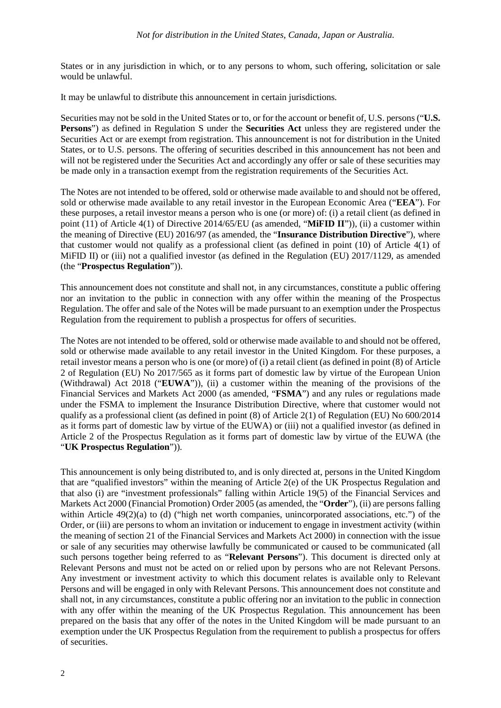States or in any jurisdiction in which, or to any persons to whom, such offering, solicitation or sale would be unlawful.

It may be unlawful to distribute this announcement in certain jurisdictions.

Securities may not be sold in the United States or to, or for the account or benefit of, U.S. persons ("**U.S. Persons**") as defined in Regulation S under the **Securities Act** unless they are registered under the Securities Act or are exempt from registration. This announcement is not for distribution in the United States, or to U.S. persons. The offering of securities described in this announcement has not been and will not be registered under the Securities Act and accordingly any offer or sale of these securities may be made only in a transaction exempt from the registration requirements of the Securities Act.

The Notes are not intended to be offered, sold or otherwise made available to and should not be offered, sold or otherwise made available to any retail investor in the European Economic Area ("**EEA**"). For these purposes, a retail investor means a person who is one (or more) of: (i) a retail client (as defined in point (11) of Article 4(1) of Directive 2014/65/EU (as amended, "**MiFID II**")), (ii) a customer within the meaning of Directive (EU) 2016/97 (as amended, the "**Insurance Distribution Directive**"), where that customer would not qualify as a professional client (as defined in point (10) of Article 4(1) of MiFID II) or (iii) not a qualified investor (as defined in the Regulation (EU) 2017/1129, as amended (the "**Prospectus Regulation**")).

This announcement does not constitute and shall not, in any circumstances, constitute a public offering nor an invitation to the public in connection with any offer within the meaning of the Prospectus Regulation. The offer and sale of the Notes will be made pursuant to an exemption under the Prospectus Regulation from the requirement to publish a prospectus for offers of securities.

The Notes are not intended to be offered, sold or otherwise made available to and should not be offered, sold or otherwise made available to any retail investor in the United Kingdom. For these purposes, a retail investor means a person who is one (or more) of (i) a retail client (as defined in point (8) of Article 2 of Regulation (EU) No 2017/565 as it forms part of domestic law by virtue of the European Union (Withdrawal) Act 2018 ("**EUWA**")), (ii) a customer within the meaning of the provisions of the Financial Services and Markets Act 2000 (as amended, "**FSMA**") and any rules or regulations made under the FSMA to implement the Insurance Distribution Directive, where that customer would not qualify as a professional client (as defined in point  $(8)$  of Article 2(1) of Regulation (EU) No 600/2014 as it forms part of domestic law by virtue of the EUWA) or (iii) not a qualified investor (as defined in Article 2 of the Prospectus Regulation as it forms part of domestic law by virtue of the EUWA (the "**UK Prospectus Regulation**")).

This announcement is only being distributed to, and is only directed at, persons in the United Kingdom that are "qualified investors" within the meaning of Article 2(e) of the UK Prospectus Regulation and that also (i) are "investment professionals" falling within Article 19(5) of the Financial Services and Markets Act 2000 (Financial Promotion) Order 2005 (as amended, the "**Order**"), (ii) are persons falling within Article 49(2)(a) to (d) ("high net worth companies, unincorporated associations, etc.") of the Order, or (iii) are persons to whom an invitation or inducement to engage in investment activity (within the meaning of section 21 of the Financial Services and Markets Act 2000) in connection with the issue or sale of any securities may otherwise lawfully be communicated or caused to be communicated (all such persons together being referred to as "**Relevant Persons**"). This document is directed only at Relevant Persons and must not be acted on or relied upon by persons who are not Relevant Persons. Any investment or investment activity to which this document relates is available only to Relevant Persons and will be engaged in only with Relevant Persons. This announcement does not constitute and shall not, in any circumstances, constitute a public offering nor an invitation to the public in connection with any offer within the meaning of the UK Prospectus Regulation. This announcement has been prepared on the basis that any offer of the notes in the United Kingdom will be made pursuant to an exemption under the UK Prospectus Regulation from the requirement to publish a prospectus for offers of securities.